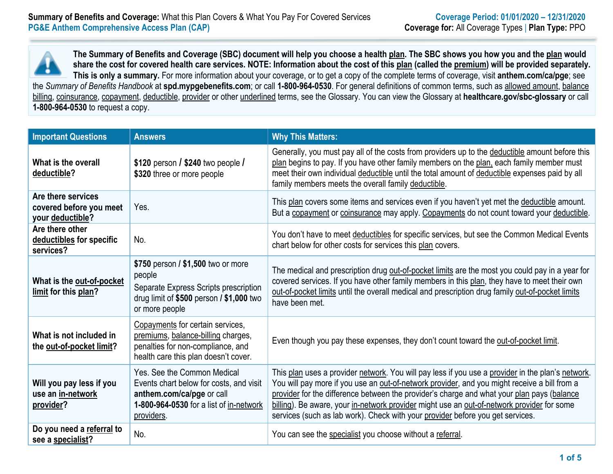

**The Summary of Benefits and Coverage (SBC) document will help you choose a health plan. The SBC shows you how you and the plan would share the cost for covered health care services. NOTE: Information about the cost of this plan (called the premium) will be provided separately. This is only a summary.** For more information about your coverage, or to get a copy of the complete terms of coverage, visit **anthem.com/ca/pge**; see the *Summary of Benefits Handbook* at **spd.mypgebenefits.com**; or call **1-800-964-0530**. For general definitions of common terms, such as allowed amount, balance billing, coinsurance, copayment, deductible, provider or other underlined terms, see the Glossary. You can view the Glossary at **healthcare.gov/sbc-glossary** or call **1-800-964-0530** to request a copy.

| <b>Important Questions</b>                                        | <b>Answers</b>                                                                                                                                               | <b>Why This Matters:</b>                                                                                                                                                                                                                                                                                                                                                                                                                                                        |
|-------------------------------------------------------------------|--------------------------------------------------------------------------------------------------------------------------------------------------------------|---------------------------------------------------------------------------------------------------------------------------------------------------------------------------------------------------------------------------------------------------------------------------------------------------------------------------------------------------------------------------------------------------------------------------------------------------------------------------------|
| What is the overall<br>deductible?                                | \$120 person $\frac{1}{240}$ two people $\frac{1}{2}$<br>\$320 three or more people                                                                          | Generally, you must pay all of the costs from providers up to the deductible amount before this<br>plan begins to pay. If you have other family members on the plan, each family member must<br>meet their own individual deductible until the total amount of deductible expenses paid by all<br>family members meets the overall family deductible.                                                                                                                           |
| Are there services<br>covered before you meet<br>your deductible? | Yes.                                                                                                                                                         | This plan covers some items and services even if you haven't yet met the deductible amount.<br>But a copayment or coinsurance may apply. Copayments do not count toward your deductible.                                                                                                                                                                                                                                                                                        |
| Are there other<br>deductibles for specific<br>services?          | No.                                                                                                                                                          | You don't have to meet deductibles for specific services, but see the Common Medical Events<br>chart below for other costs for services this plan covers.                                                                                                                                                                                                                                                                                                                       |
| What is the out-of-pocket<br>limit for this plan?                 | \$750 person / \$1,500 two or more<br>people<br>Separate Express Scripts prescription<br>drug limit of $$500$ person $/$ \$1,000 two<br>or more people       | The medical and prescription drug out-of-pocket limits are the most you could pay in a year for<br>covered services. If you have other family members in this plan, they have to meet their own<br>out-of-pocket limits until the overall medical and prescription drug family out-of-pocket limits<br>have been met.                                                                                                                                                           |
| What is not included in<br>the out-of-pocket limit?               | Copayments for certain services,<br>premiums, balance-billing charges,<br>penalties for non-compliance, and<br>health care this plan doesn't cover.          | Even though you pay these expenses, they don't count toward the out-of-pocket limit.                                                                                                                                                                                                                                                                                                                                                                                            |
| Will you pay less if you<br>use an in-network<br>provider?        | Yes. See the Common Medical<br>Events chart below for costs, and visit<br>anthem.com/ca/pge or call<br>1-800-964-0530 for a list of in-network<br>providers. | This plan uses a provider network. You will pay less if you use a provider in the plan's network.<br>You will pay more if you use an out-of-network provider, and you might receive a bill from a<br>provider for the difference between the provider's charge and what your plan pays (balance<br>billing). Be aware, your in-network provider might use an out-of-network provider for some<br>services (such as lab work). Check with your provider before you get services. |
| Do you need a referral to<br>see a specialist?                    | No.                                                                                                                                                          | You can see the specialist you choose without a referral.                                                                                                                                                                                                                                                                                                                                                                                                                       |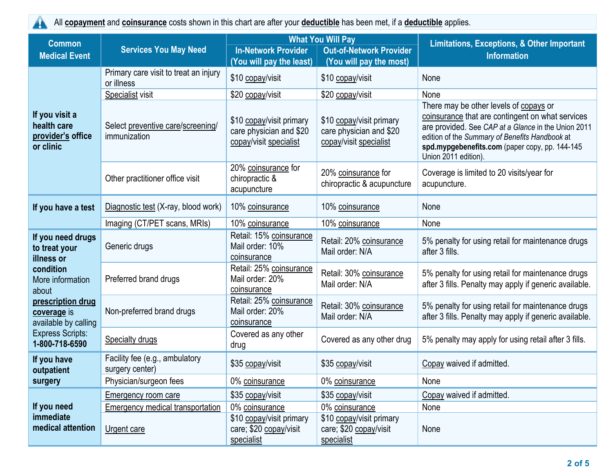A

All **copayment** and **coinsurance** costs shown in this chart are after your **deductible** has been met, if a **deductible** applies.

| <b>Common</b>                                                                                                                                                                                       |                                                     | <b>What You Will Pay</b>                                                      |                                                                               | <b>Limitations, Exceptions, &amp; Other Important</b>                                                                                                                                                                                                                         |  |
|-----------------------------------------------------------------------------------------------------------------------------------------------------------------------------------------------------|-----------------------------------------------------|-------------------------------------------------------------------------------|-------------------------------------------------------------------------------|-------------------------------------------------------------------------------------------------------------------------------------------------------------------------------------------------------------------------------------------------------------------------------|--|
| <b>Medical Event</b>                                                                                                                                                                                | <b>Services You May Need</b>                        | <b>In-Network Provider</b><br>(You will pay the least)                        | <b>Out-of-Network Provider</b><br>(You will pay the most)                     | <b>Information</b>                                                                                                                                                                                                                                                            |  |
| If you visit a<br>health care<br>provider's office<br>or clinic                                                                                                                                     | Primary care visit to treat an injury<br>or illness | \$10 copay/visit                                                              | \$10 copay/visit                                                              | None                                                                                                                                                                                                                                                                          |  |
|                                                                                                                                                                                                     | Specialist visit                                    | \$20 copay/visit                                                              | \$20 copay/visit                                                              | None                                                                                                                                                                                                                                                                          |  |
|                                                                                                                                                                                                     | Select preventive care/screening/<br>immunization   | \$10 copay/visit primary<br>care physician and \$20<br>copay/visit specialist | \$10 copay/visit primary<br>care physician and \$20<br>copay/visit specialist | There may be other levels of copays or<br>coinsurance that are contingent on what services<br>are provided. See CAP at a Glance in the Union 2011<br>edition of the Summary of Benefits Handbook at<br>spd.mypgebenefits.com (paper copy, pp. 144-145<br>Union 2011 edition). |  |
|                                                                                                                                                                                                     | Other practitioner office visit                     | 20% coinsurance for<br>chiropractic &<br>acupuncture                          | 20% coinsurance for<br>chiropractic & acupuncture                             | Coverage is limited to 20 visits/year for<br>acupuncture.                                                                                                                                                                                                                     |  |
| If you have a test                                                                                                                                                                                  | Diagnostic test (X-ray, blood work)                 | 10% coinsurance                                                               | 10% coinsurance                                                               | None                                                                                                                                                                                                                                                                          |  |
|                                                                                                                                                                                                     | Imaging (CT/PET scans, MRIs)                        | 10% coinsurance                                                               | 10% coinsurance                                                               | None                                                                                                                                                                                                                                                                          |  |
| If you need drugs<br>to treat your<br>illness or<br>condition<br>More information<br>about<br>prescription drug<br>coverage is<br>available by calling<br><b>Express Scripts:</b><br>1-800-718-6590 | Generic drugs                                       | Retail: 15% coinsurance<br>Mail order: 10%<br>coinsurance                     | Retail: 20% coinsurance<br>Mail order: N/A                                    | 5% penalty for using retail for maintenance drugs<br>after 3 fills.                                                                                                                                                                                                           |  |
|                                                                                                                                                                                                     | Preferred brand drugs                               | Retail: 25% coinsurance<br>Mail order: 20%<br>coinsurance                     | Retail: 30% coinsurance<br>Mail order: N/A                                    | 5% penalty for using retail for maintenance drugs<br>after 3 fills. Penalty may apply if generic available.                                                                                                                                                                   |  |
|                                                                                                                                                                                                     | Non-preferred brand drugs                           | Retail: 25% coinsurance<br>Mail order: 20%<br>coinsurance                     | Retail: 30% coinsurance<br>Mail order: N/A                                    | 5% penalty for using retail for maintenance drugs<br>after 3 fills. Penalty may apply if generic available.                                                                                                                                                                   |  |
|                                                                                                                                                                                                     | <b>Specialty drugs</b>                              | Covered as any other<br>drug                                                  | Covered as any other drug                                                     | 5% penalty may apply for using retail after 3 fills.                                                                                                                                                                                                                          |  |
| If you have<br>outpatient<br>surgery                                                                                                                                                                | Facility fee (e.g., ambulatory<br>surgery center)   | \$35 copay/visit                                                              | \$35 copay/visit                                                              | Copay waived if admitted.                                                                                                                                                                                                                                                     |  |
|                                                                                                                                                                                                     | Physician/surgeon fees                              | 0% coinsurance                                                                | 0% coinsurance                                                                | None                                                                                                                                                                                                                                                                          |  |
| If you need<br>immediate<br>medical attention                                                                                                                                                       | Emergency room care                                 | \$35 copay/visit                                                              | \$35 copay/visit                                                              | Copay waived if admitted.                                                                                                                                                                                                                                                     |  |
|                                                                                                                                                                                                     | <b>Emergency medical transportation</b>             | 0% coinsurance                                                                | 0% coinsurance                                                                | None                                                                                                                                                                                                                                                                          |  |
|                                                                                                                                                                                                     | Urgent care                                         | \$10 copay/visit primary<br>care; \$20 copay/visit<br>specialist              | \$10 copay/visit primary<br>care; \$20 copay/visit<br>specialist              | None                                                                                                                                                                                                                                                                          |  |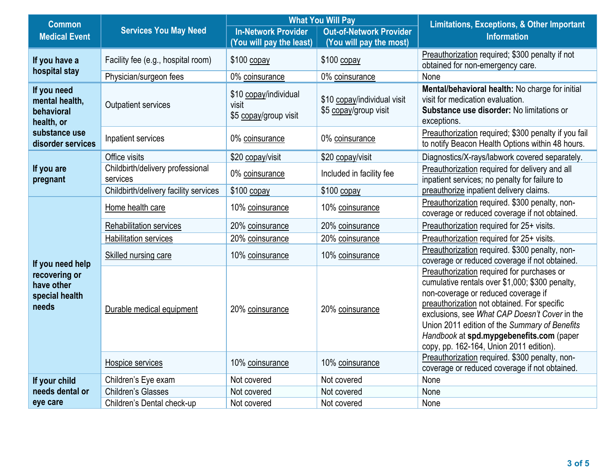| <b>Common</b>                                                                                   |                                              | <b>What You Will Pay</b>                                |                                                           | <b>Limitations, Exceptions, &amp; Other Important</b>                                                                                                                                                                                                                                                                                                                        |  |
|-------------------------------------------------------------------------------------------------|----------------------------------------------|---------------------------------------------------------|-----------------------------------------------------------|------------------------------------------------------------------------------------------------------------------------------------------------------------------------------------------------------------------------------------------------------------------------------------------------------------------------------------------------------------------------------|--|
| <b>Medical Event</b>                                                                            | <b>Services You May Need</b>                 | <b>In-Network Provider</b><br>(You will pay the least)  | <b>Out-of-Network Provider</b><br>(You will pay the most) | <b>Information</b>                                                                                                                                                                                                                                                                                                                                                           |  |
| If you have a<br>hospital stay                                                                  | Facility fee (e.g., hospital room)           | $$100$ copay                                            | $$100$ copay                                              | Preauthorization required; \$300 penalty if not<br>obtained for non-emergency care.                                                                                                                                                                                                                                                                                          |  |
|                                                                                                 | Physician/surgeon fees                       | 0% coinsurance                                          | 0% coinsurance                                            | None                                                                                                                                                                                                                                                                                                                                                                         |  |
| If you need<br>mental health,<br>behavioral<br>health, or<br>substance use<br>disorder services | Outpatient services                          | \$10 copay/individual<br>visit<br>\$5 copay/group visit | \$10 copay/individual visit<br>\$5 copay/group visit      | Mental/behavioral health: No charge for initial<br>visit for medication evaluation.<br>Substance use disorder: No limitations or<br>exceptions.                                                                                                                                                                                                                              |  |
|                                                                                                 | Inpatient services                           | 0% coinsurance                                          | 0% coinsurance                                            | Preauthorization required; \$300 penalty if you fail<br>to notify Beacon Health Options within 48 hours.                                                                                                                                                                                                                                                                     |  |
|                                                                                                 | Office visits                                | \$20 copay/visit                                        | \$20 copay/visit                                          | Diagnostics/X-rays/labwork covered separately.                                                                                                                                                                                                                                                                                                                               |  |
| If you are<br>pregnant                                                                          | Childbirth/delivery professional<br>services | 0% coinsurance                                          | Included in facility fee                                  | Preauthorization required for delivery and all<br>inpatient services; no penalty for failure to                                                                                                                                                                                                                                                                              |  |
|                                                                                                 | Childbirth/delivery facility services        | $$100$ copay                                            | $$100$ copay                                              | preauthorize inpatient delivery claims.                                                                                                                                                                                                                                                                                                                                      |  |
|                                                                                                 | Home health care                             | 10% coinsurance                                         | 10% coinsurance                                           | Preauthorization required. \$300 penalty, non-<br>coverage or reduced coverage if not obtained.                                                                                                                                                                                                                                                                              |  |
|                                                                                                 | <b>Rehabilitation services</b>               | 20% coinsurance                                         | 20% coinsurance                                           | Preauthorization required for 25+ visits.                                                                                                                                                                                                                                                                                                                                    |  |
|                                                                                                 | Habilitation services                        | 20% coinsurance                                         | 20% coinsurance                                           | Preauthorization required for 25+ visits.                                                                                                                                                                                                                                                                                                                                    |  |
| If you need help<br>recovering or<br>have other<br>special health<br>needs                      | Skilled nursing care                         | 10% coinsurance                                         | 10% coinsurance                                           | Preauthorization required. \$300 penalty, non-<br>coverage or reduced coverage if not obtained.                                                                                                                                                                                                                                                                              |  |
|                                                                                                 | Durable medical equipment                    | 20% coinsurance                                         | 20% coinsurance                                           | Preauthorization required for purchases or<br>cumulative rentals over \$1,000; \$300 penalty,<br>non-coverage or reduced coverage if<br>preauthorization not obtained. For specific<br>exclusions, see What CAP Doesn't Cover in the<br>Union 2011 edition of the Summary of Benefits<br>Handbook at spd.mypgebenefits.com (paper<br>copy, pp. 162-164, Union 2011 edition). |  |
|                                                                                                 | Hospice services                             | 10% coinsurance                                         | 10% coinsurance                                           | Preauthorization required. \$300 penalty, non-<br>coverage or reduced coverage if not obtained.                                                                                                                                                                                                                                                                              |  |
| If your child                                                                                   | Children's Eye exam                          | Not covered                                             | Not covered                                               | None                                                                                                                                                                                                                                                                                                                                                                         |  |
| needs dental or                                                                                 | Children's Glasses                           | Not covered                                             | Not covered                                               | None                                                                                                                                                                                                                                                                                                                                                                         |  |
| eye care                                                                                        | Children's Dental check-up                   | Not covered                                             | Not covered                                               | None                                                                                                                                                                                                                                                                                                                                                                         |  |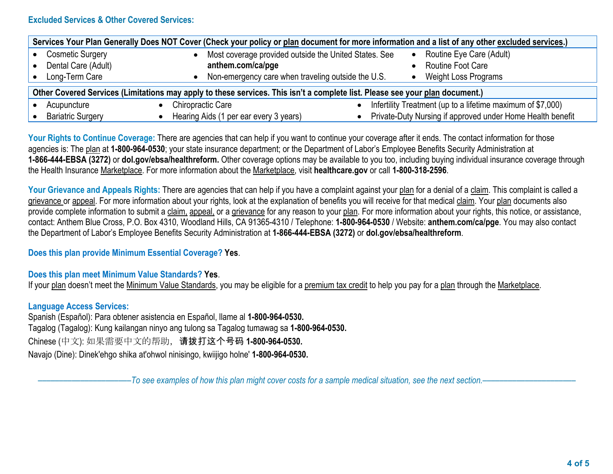# **Excluded Services & Other Covered Services:**

| Services Your Plan Generally Does NOT Cover (Check your policy or plan document for more information and a list of any other excluded services.) |                                                       |                                                             |  |  |  |
|--------------------------------------------------------------------------------------------------------------------------------------------------|-------------------------------------------------------|-------------------------------------------------------------|--|--|--|
| <b>Cosmetic Surgery</b>                                                                                                                          | Most coverage provided outside the United States. See | Routine Eye Care (Adult)<br>$\bullet$                       |  |  |  |
| Dental Care (Adult)                                                                                                                              | anthem.com/ca/pge                                     | Routine Foot Care                                           |  |  |  |
| Long-Term Care                                                                                                                                   | Non-emergency care when traveling outside the U.S.    | <b>Weight Loss Programs</b>                                 |  |  |  |
| Other Covered Services (Limitations may apply to these services. This isn't a complete list. Please see your plan document.)                     |                                                       |                                                             |  |  |  |
| Acupuncture                                                                                                                                      | <b>Chiropractic Care</b>                              | Infertility Treatment (up to a lifetime maximum of \$7,000) |  |  |  |
| <b>Bariatric Surgery</b>                                                                                                                         | Hearing Aids (1 per ear every 3 years)                | Private-Duty Nursing if approved under Home Health benefit  |  |  |  |

Your Rights to Continue Coverage: There are agencies that can help if you want to continue your coverage after it ends. The contact information for those agencies is: The plan at **1-800-964-0530**; your state insurance department; or the Department of Labor's Employee Benefits Security Administration at **1-866-444-EBSA (3272)** or **dol.gov/ebsa/healthreform.** Other coverage options may be available to you too, including buying individual insurance coverage through the Health Insurance Marketplace. For more information about the Marketplace, visit **healthcare.gov** or call **1-800-318-2596**.

Your Grievance and Appeals Rights: There are agencies that can help if you have a complaint against your plan for a denial of a claim. This complaint is called a grievance or appeal. For more information about your rights, look at the explanation of benefits you will receive for that medical claim. Your plan documents also provide complete information to submit a claim, appeal, or a grievance for any reason to your plan. For more information about your rights, this notice, or assistance, contact: Anthem Blue Cross, P.O. Box 4310, Woodland Hills, CA 91365-4310 / Telephone: **1-800-964-0530** / Website: **anthem.com/ca/pge**. You may also contact the Department of Labor's Employee Benefits Security Administration at **1-866-444-EBSA (3272)** or **dol.gov/ebsa/healthreform**.

### **Does this plan provide Minimum Essential Coverage? Yes**.

### **Does this plan meet Minimum Value Standards? Yes**.

If your plan doesn't meet the Minimum Value Standards, you may be eligible for a premium tax credit to help you pay for a plan through the Marketplace.

### **Language Access Services:**

Spanish (Español): Para obtener asistencia en Español, llame al **1-800-964-0530.** Tagalog (Tagalog): Kung kailangan ninyo ang tulong sa Tagalog tumawag sa **1-800-964-0530.** Chinese (中文): 如果需要中文的帮助,请拨打这个号码 **1-800-964-0530.** Navajo (Dine): Dinek'ehgo shika at'ohwol ninisingo, kwiijigo holne' **1-800-964-0530.**

–To see examples of how this plan might cover costs for a sample medical situation, see the next section.–